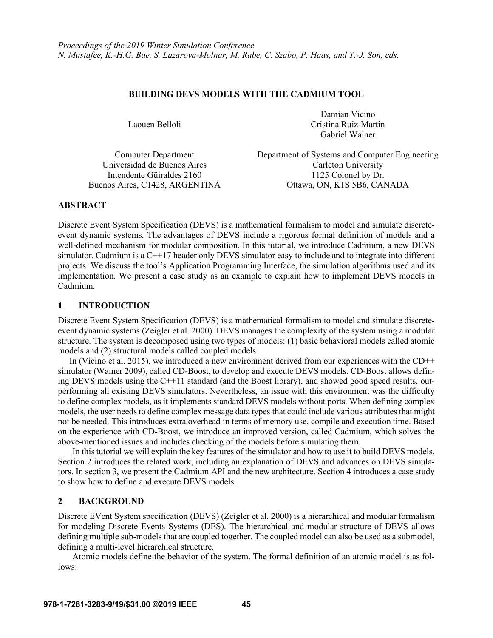## **BUILDING DEVS MODELS WITH THE CADMIUM TOOL**

Laouen Belloli

Damian Vicino Cristina Ruiz-Martin Gabriel Wainer

Computer Department Department of Systems and Computer Engineering Universidad de Buenos Aires Carleton University Intendente Güiraldes 2160 1125 Colonel by Dr. Buenos Aires, C1428, ARGENTINA Ottawa, ON, K1S 5B6, CANADA

## **ABSTRACT**

Discrete Event System Specification (DEVS) is a mathematical formalism to model and simulate discreteevent dynamic systems. The advantages of DEVS include a rigorous formal definition of models and a well-defined mechanism for modular composition. In this tutorial, we introduce Cadmium, a new DEVS simulator. Cadmium is a C++17 header only DEVS simulator easy to include and to integrate into different projects. We discuss the tool's Application Programming Interface, the simulation algorithms used and its implementation. We present a case study as an example to explain how to implement DEVS models in Cadmium.

# **1 INTRODUCTION**

Discrete Event System Specification (DEVS) is a mathematical formalism to model and simulate discreteevent dynamic systems (Zeigler et al. 2000). DEVS manages the complexity of the system using a modular structure. The system is decomposed using two types of models: (1) basic behavioral models called atomic models and (2) structural models called coupled models.

In (Vicino et al. 2015), we introduced a new environment derived from our experiences with the  $CD++$ simulator (Wainer 2009), called CD-Boost, to develop and execute DEVS models. CD-Boost allows defining DEVS models using the C++11 standard (and the Boost library), and showed good speed results, outperforming all existing DEVS simulators. Nevertheless, an issue with this environment was the difficulty to define complex models, as it implements standard DEVS models without ports. When defining complex models, the user needs to define complex message data types that could include various attributes that might not be needed. This introduces extra overhead in terms of memory use, compile and execution time. Based on the experience with CD-Boost, we introduce an improved version, called Cadmium, which solves the above-mentioned issues and includes checking of the models before simulating them.

In this tutorial we will explain the key features of the simulator and how to use it to build DEVS models. Section 2 introduces the related work, including an explanation of DEVS and advances on DEVS simulators. In section 3, we present the Cadmium API and the new architecture. Section 4 introduces a case study to show how to define and execute DEVS models.

# **2 BACKGROUND**

Discrete EVent System specification (DEVS) (Zeigler et al. 2000) is a hierarchical and modular formalism for modeling Discrete Events Systems (DES). The hierarchical and modular structure of DEVS allows defining multiple sub-models that are coupled together. The coupled model can also be used as a submodel, defining a multi-level hierarchical structure.

Atomic models define the behavior of the system. The formal definition of an atomic model is as follows: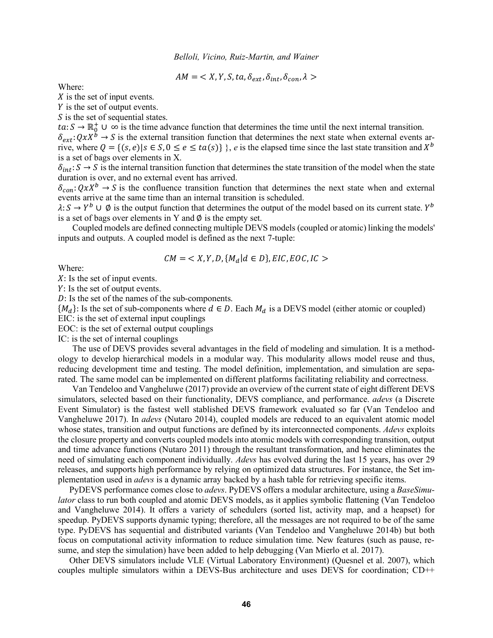$$
AM = \langle X, Y, S, ta, \delta_{ext}, \delta_{int}, \delta_{con}, \lambda \rangle
$$

Where:

 $X$  is the set of input events.

 $Y$  is the set of output events.

S is the set of sequential states.

 $ta: S \to \mathbb{R}_0^+ \cup \infty$  is the time advance function that determines the time until the next internal transition.  $\delta_{ext}$ :  $QxX^{\check{b}} \to S$  is the external transition function that determines the next state when external events ar-

rive, where  $Q = \{(s, e) | s \in S, 0 \le e \le ta(s)\}\$ , *e* is the elapsed time since the last state transition and  $X^b$ is a set of bags over elements in X.

 $\delta_{int}: S \to S$  is the internal transition function that determines the state transition of the model when the state duration is over, and no external event has arrived.

 $\delta_{con}$ :  $QxX^b \rightarrow S$  is the confluence transition function that determines the next state when and external events arrive at the same time than an internal transition is scheduled.

 $\lambda: S \to Y^b \cup \emptyset$  is the output function that determines the output of the model based on its current state. Y<sup>b</sup> is a set of bags over elements in Y and  $\emptyset$  is the empty set.

Coupled models are defined connecting multiple DEVS models (coupled or atomic) linking the models' inputs and outputs. A coupled model is defined as the next 7-tuple:

$$
CM = \langle X, Y, D, \{M_d | d \in D\}, EIC, EOC, IC \rangle
$$

Where:

 $X:$  Is the set of input events.

: Is the set of output events.

: Is the set of the names of the sub-components.

 ${M_d}$ : Is the set of sub-components where  $d \in D$ . Each  $M_d$  is a DEVS model (either atomic or coupled) EIC: is the set of external input couplings

EOC: is the set of external output couplings

IC: is the set of internal couplings

The use of DEVS provides several advantages in the field of modeling and simulation. It is a methodology to develop hierarchical models in a modular way. This modularity allows model reuse and thus, reducing development time and testing. The model definition, implementation, and simulation are separated. The same model can be implemented on different platforms facilitating reliability and correctness.

Van Tendeloo and Vangheluwe (2017) provide an overview of the current state of eight different DEVS simulators, selected based on their functionality, DEVS compliance, and performance. *adevs* (a Discrete Event Simulator) is the fastest well stablished DEVS framework evaluated so far (Van Tendeloo and Vangheluwe 2017). In *adevs* (Nutaro 2014), coupled models are reduced to an equivalent atomic model whose states, transition and output functions are defined by its interconnected components. *Adevs* exploits the closure property and converts coupled models into atomic models with corresponding transition, output and time advance functions (Nutaro 2011) through the resultant transformation, and hence eliminates the need of simulating each component individually. *Adevs* has evolved during the last 15 years, has over 29 releases, and supports high performance by relying on optimized data structures. For instance, the Set implementation used in *adevs* is a dynamic array backed by a hash table for retrieving specific items.

PyDEVS performance comes close to *adevs*. PyDEVS offers a modular architecture, using a *BaseSimulator* class to run both coupled and atomic DEVS models, as it applies symbolic flattening (Van Tendeloo) and Vangheluwe 2014). It offers a variety of schedulers (sorted list, activity map, and a heapset) for speedup. PyDEVS supports dynamic typing; therefore, all the messages are not required to be of the same type. PyDEVS has sequential and distributed variants (Van Tendeloo and Vangheluwe 2014b) but both focus on computational activity information to reduce simulation time. New features (such as pause, resume, and step the simulation) have been added to help debugging (Van Mierlo et al. 2017).

Other DEVS simulators include VLE (Virtual Laboratory Environment) (Quesnel et al. 2007), which couples multiple simulators within a DEVS-Bus architecture and uses DEVS for coordination; CD++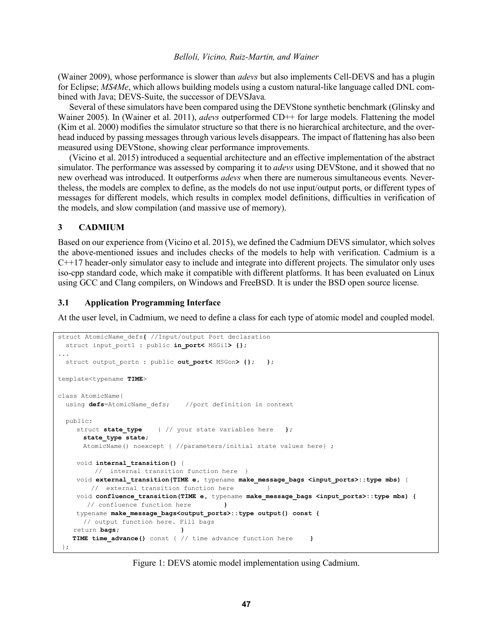(Wainer 2009), whose performance is slower than *adevs* but also implements Cell-DEVS and has a plugin for Eclipse; *MS4Me*, which allows building models using a custom natural-like language called DNL combined with Java; DEVS-Suite, the successor of DEVSJava*.*

Several of these simulators have been compared using the DEVStone synthetic benchmark (Glinsky and Wainer 2005). In (Wainer et al. 2011), *adevs* outperformed CD++ for large models. Flattening the model (Kim et al. 2000) modifies the simulator structure so that there is no hierarchical architecture, and the overhead induced by passing messages through various levels disappears. The impact of flattening has also been measured using DEVStone, showing clear performance improvements.

(Vicino et al. 2015) introduced a sequential architecture and an effective implementation of the abstract simulator. The performance was assessed by comparing it to *adevs* using DEVStone, and it showed that no new overhead was introduced. It outperforms *adevs* when there are numerous simultaneous events*.* Nevertheless, the models are complex to define, as the models do not use input/output ports, or different types of messages for different models, which results in complex model definitions, difficulties in verification of the models, and slow compilation (and massive use of memory).

## **3 CADMIUM**

Based on our experience from (Vicino et al. 2015), we defined the Cadmium DEVS simulator, which solves the above-mentioned issues and includes checks of the models to help with verification. Cadmium is a C++17 header-only simulator easy to include and integrate into different projects. The simulator only uses iso-cpp standard code, which make it compatible with different platforms. It has been evaluated on Linux using GCC and Clang compilers, on Windows and FreeBSD. It is under the BSD open source license.

## **3.1 Application Programming Interface**

At the user level, in Cadmium, we need to define a class for each type of atomic model and coupled model.

```
struct AtomicName_defs{ //Input/output Port declaration
 struct input port1 : public in port< MSGi1> {};
...
 struct output portn : public out_port< MSGon> {}; };
template<typename TIME>
class AtomicName{
 using defs=AtomicName defs; //port definition in context
  public: 
    struct state type { // your state variables here };
       state_type state;
       AtomicName() noexcept { //parameters/initial state values here} ;
    void internal_transition() {
         // internal transition function here }
    void external transition (TIME e, typename make message bags <input ports>::type mbs) {
        // external transition function here }
    void confluence_transition(TIME e, typename make_message_bags <input_ports>::type mbs) {
        // confluence function here }
    typename make_message_bags<output_ports>::type output() const {
       // output function here. Fill bags
    return bags; }
   TIME time_advance() const { // time advance function here }
 };
```
Figure 1: DEVS atomic model implementation using Cadmium.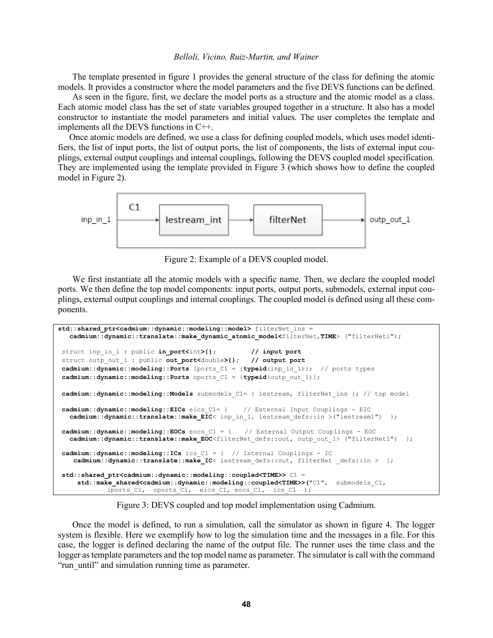The template presented in figure 1 provides the general structure of the class for defining the atomic models. It provides a constructor where the model parameters and the five DEVS functions can be defined.

As seen in the figure, first, we declare the model ports as a structure and the atomic model as a class. Each atomic model class has the set of state variables grouped together in a structure. It also has a model constructor to instantiate the model parameters and initial values. The user completes the template and implements all the DEVS functions in C++.

Once atomic models are defined, we use a class for defining coupled models, which uses model identifiers, the list of input ports, the list of output ports, the list of components, the lists of external input couplings, external output couplings and internal couplings, following the DEVS coupled model specification. They are implemented using the template provided in Figure 3 (which shows how to define the coupled model in Figure 2).



Figure 2: Example of a DEVS coupled model.

We first instantiate all the atomic models with a specific name. Then, we declare the coupled model ports. We then define the top model components: input ports, output ports, submodels, external input couplings, external output couplings and internal couplings. The coupled model is defined using all these components.

```
std::shared_ptr<cadmium::dynamic::modeling::model> filterNet_ins =
   cadmium::dynamic::translate::make_dynamic_atomic_model<filterNet,TIME> ("filterNet1");
struct inp_in_1 : public in_port<int>{}; // input port
struct outp_out_1 : public out_port<double>{}; // output port
cadmium::dynamic::modeling::Ports iports_C1 = {typeid(inp_in_1)}; // ports types
cadmium::dynamic::modeling::Ports oports_C1 = {typeid(outp_out_1)};
cadmium::dynamic::modeling::Models submodels_C1= { iestream, filterNet_ins }; // top model
cadmium::dynamic::modeling::EICs eics_C1= { // External Input Couplings - EIC
  cadmium::dynamic::translate::make EIC< inp in 1, iestream defs::in >("iestream1") };
cadmium::dynamic::modeling::EOCs eocs_C1 = { // External Output Couplings - EOC
  cadmium::dynamic::translate::make_EOC<filterNet defs::out, outp out 1> ("filterNet1") };
cadmium::dynamic::modeling::ICs ics_C1 = { // Internal Couplings - IC
   cadmium::dynamic::translate::make IC< iestream defs::out, filterNet defs::in > };
std::shared_ptr<cadmium::dynamic::modeling::coupled<TIME>> C1 = 
     std::make_shared<cadmium::dynamic::modeling::coupled<TIME>>("C1", submodels_C1, 
             iports_C1, oports_C1, eics_C1, eocs_C1, ics_C1 );
```
Figure 3: DEVS coupled and top model implementation using Cadmium.

Once the model is defined, to run a simulation, call the simulator as shown in figure 4. The logger system is flexible. Here we exemplify how to log the simulation time and the messages in a file. For this case, the logger is defined declaring the name of the output file. The runner uses the time class and the logger as template parameters and the top model name as parameter. The simulator is call with the command "run\_until" and simulation running time as parameter.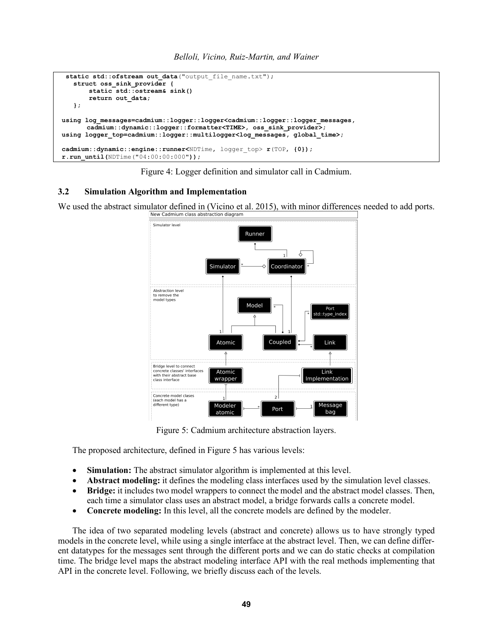

Figure 4: Logger definition and simulator call in Cadmium.

## **3.2 Simulation Algorithm and Implementation**

We used the abstract simulator defined in (Vicino et al. 2015), with minor differences needed to add ports.<br>
New Cadmium class abstraction diagram



Figure 5: Cadmium architecture abstraction layers.

The proposed architecture, defined in Figure 5 has various levels:

- **Simulation:** The abstract simulator algorithm is implemented at this level.
- **Abstract modeling:** it defines the modeling class interfaces used by the simulation level classes.
- **Bridge:** it includes two model wrappers to connect the model and the abstract model classes. Then, each time a simulator class uses an abstract model, a bridge forwards calls a concrete model.
- **Concrete modeling:** In this level, all the concrete models are defined by the modeler.

The idea of two separated modeling levels (abstract and concrete) allows us to have strongly typed models in the concrete level, while using a single interface at the abstract level. Then, we can define different datatypes for the messages sent through the different ports and we can do static checks at compilation time. The bridge level maps the abstract modeling interface API with the real methods implementing that API in the concrete level. Following, we briefly discuss each of the levels.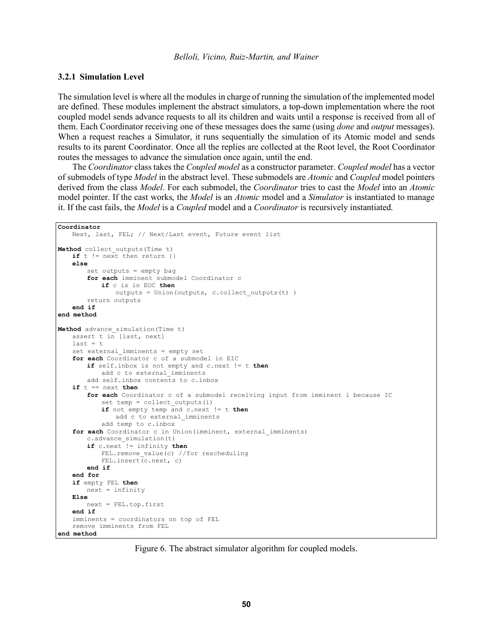## **3.2.1 Simulation Level**

The simulation level is where all the modules in charge of running the simulation of the implemented model are defined. These modules implement the abstract simulators, a top-down implementation where the root coupled model sends advance requests to all its children and waits until a response is received from all of them. Each Coordinator receiving one of these messages does the same (using *done* and *output* messages). When a request reaches a Simulator, it runs sequentially the simulation of its Atomic model and sends results to its parent Coordinator. Once all the replies are collected at the Root level, the Root Coordinator routes the messages to advance the simulation once again, until the end.

The *Coordinator* class takes the *Coupled model* as a constructor parameter. *Coupled model* has a vector of submodels of type *Model* in the abstract level. These submodels are *Atomic* and *Coupled* model pointers derived from the class *Model*. For each submodel, the *Coordinator* tries to cast the *Model* into an *Atomic* model pointer. If the cast works, the *Model* is an *Atomic* model and a *Simulator* is instantiated to manage it. If the cast fails, the *Model* is a *Coupled* model and a *Coordinator* is recursively instantiated.

```
Coordinator
   Next, last, FEL; // Next/Last event, Future event list
Method collect_outputs(Time t)
   if t := \overline{next} then return {}
    else
       set outputs = empty bag
       for each imminent submodel Coordinator c
           if c is in EOC then
               outputs = Union(outputs, c.collect_outputs(t) )
       return outputs
   end if
end method
Method advance_simulation(Time t)
   assert t in \sqrt{a} [last, next]
   last = tset external imminents = empty set
   for each Coordinator c of a submodel in EIC
       if self.inbox is not empty and c.next != t then
           add c to external imminents
       add self.inbox contents to c.inbox
   if t == next then
       for each Coordinator c of a submodel receiving input from imminent i because IC
           set temp = collect outputs(i)
           if not empty temp and c.next != t then
               add c to external_imminents
           add temp to c.inbox
   for each Coordinator c in Union(imminent, external imminents)
       c.advance_simulation(t)
       if c.next != infinity then
           FEL.remove value(c) //for rescheduling
           FEL.insert(c.next, c)
       end if
   end for
   if empty FEL then
       next = infinity
   Else
       next = FEL.top.first
    end if
    imminents = coordinators on top of FEL
   remove imminents from FEL
end method
```
Figure 6. The abstract simulator algorithm for coupled models.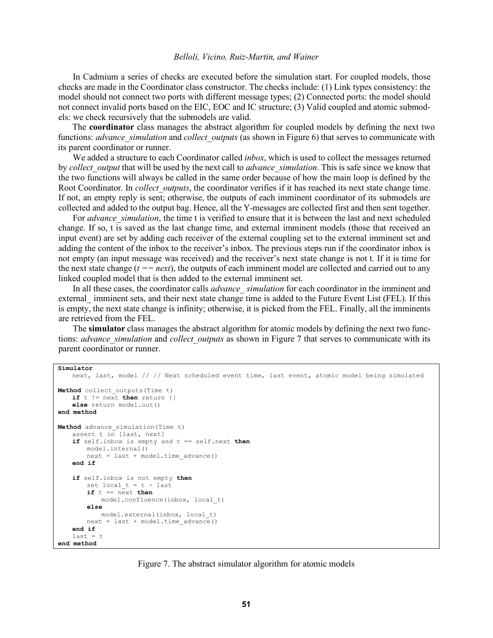In Cadmium a series of checks are executed before the simulation start. For coupled models, those checks are made in the Coordinator class constructor. The checks include: (1) Link types consistency: the model should not connect two ports with different message types; (2) Connected ports: the model should not connect invalid ports based on the EIC, EOC and IC structure; (3) Valid coupled and atomic submodels: we check recursively that the submodels are valid.

The **coordinator** class manages the abstract algorithm for coupled models by defining the next two functions: *advance* simulation and *collect* outputs (as shown in Figure 6) that serves to communicate with its parent coordinator or runner.

We added a structure to each Coordinator called *inbox*, which is used to collect the messages returned by *collect\_output* that will be used by the next call to *advance\_simulation*. This is safe since we know that the two functions will always be called in the same order because of how the main loop is defined by the Root Coordinator. In *collect outputs*, the coordinator verifies if it has reached its next state change time. If not, an empty reply is sent; otherwise, the outputs of each imminent coordinator of its submodels are collected and added to the output bag. Hence, all the Y-messages are collected first and then sent together.

For *advance* simulation, the time t is verified to ensure that it is between the last and next scheduled change. If so, t is saved as the last change time, and external imminent models (those that received an input event) are set by adding each receiver of the external coupling set to the external imminent set and adding the content of the inbox to the receiver's inbox. The previous steps run if the coordinator inbox is not empty (an input message was received) and the receiver's next state change is not t. If it is time for the next state change (*t == next*), the outputs of each imminent model are collected and carried out to any linked coupled model that is then added to the external imminent set.

In all these cases, the coordinator calls *advance\_ simulation* for each coordinator in the imminent and external imminent sets, and their next state change time is added to the Future Event List (FEL). If this is empty, the next state change is infinity; otherwise, it is picked from the FEL. Finally, all the imminents are retrieved from the FEL.

The **simulator** class manages the abstract algorithm for atomic models by defining the next two functions: *advance* simulation and *collect* outputs as shown in Figure 7 that serves to communicate with its parent coordinator or runner.

```
Simulator
   next, last, model // // Next scheduled event time, last event, atomic model being simulated
Method collect_outputs(Time t)
   if t := \overline{next} then return {}
   else return model.out()
end method
Method advance_simulation(Time t)
   assert t in [last, next]
   if self.inbox is empty and t == self.next then
       model.internal()
       next = last + model.time_advance()
   end if
   if self.inbox is not empty then
       set local t = t - last
       if t == n \overline{ext} thenmodel.confluence(inbox, local_t)
       else
           model.external(inbox, local_t)
       next = last + model.time_advance()
    end if
    last = tend method
```
Figure 7. The abstract simulator algorithm for atomic models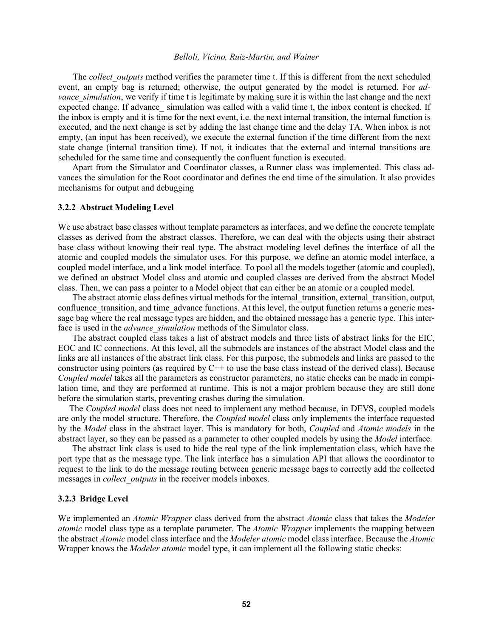The *collect* outputs method verifies the parameter time t. If this is different from the next scheduled event, an empty bag is returned; otherwise, the output generated by the model is returned. For *advance simulation*, we verify if time t is legitimate by making sure it is within the last change and the next expected change. If advance simulation was called with a valid time t, the inbox content is checked. If the inbox is empty and it is time for the next event, i.e. the next internal transition, the internal function is executed, and the next change is set by adding the last change time and the delay TA. When inbox is not empty, (an input has been received), we execute the external function if the time different from the next state change (internal transition time). If not, it indicates that the external and internal transitions are scheduled for the same time and consequently the confluent function is executed.

Apart from the Simulator and Coordinator classes, a Runner class was implemented. This class advances the simulation for the Root coordinator and defines the end time of the simulation. It also provides mechanisms for output and debugging

### **3.2.2 Abstract Modeling Level**

We use abstract base classes without template parameters as interfaces, and we define the concrete template classes as derived from the abstract classes. Therefore, we can deal with the objects using their abstract base class without knowing their real type. The abstract modeling level defines the interface of all the atomic and coupled models the simulator uses. For this purpose, we define an atomic model interface, a coupled model interface, and a link model interface. To pool all the models together (atomic and coupled), we defined an abstract Model class and atomic and coupled classes are derived from the abstract Model class. Then, we can pass a pointer to a Model object that can either be an atomic or a coupled model.

The abstract atomic class defines virtual methods for the internal\_transition, external\_transition, output, confluence transition, and time advance functions. At this level, the output function returns a generic message bag where the real message types are hidden, and the obtained message has a generic type. This interface is used in the *advance\_simulation* methods of the Simulator class.

The abstract coupled class takes a list of abstract models and three lists of abstract links for the EIC, EOC and IC connections. At this level, all the submodels are instances of the abstract Model class and the links are all instances of the abstract link class. For this purpose, the submodels and links are passed to the constructor using pointers (as required by C++ to use the base class instead of the derived class). Because *Coupled model* takes all the parameters as constructor parameters, no static checks can be made in compilation time, and they are performed at runtime. This is not a major problem because they are still done before the simulation starts, preventing crashes during the simulation.

The *Coupled model* class does not need to implement any method because, in DEVS, coupled models are only the model structure. Therefore, the *Coupled model* class only implements the interface requested by the *Model* class in the abstract layer. This is mandatory for both, *Coupled* and *Atomic models* in the abstract layer, so they can be passed as a parameter to other coupled models by using the *Model* interface.

The abstract link class is used to hide the real type of the link implementation class, which have the port type that as the message type. The link interface has a simulation API that allows the coordinator to request to the link to do the message routing between generic message bags to correctly add the collected messages in *collect\_outputs* in the receiver models inboxes.

### **3.2.3 Bridge Level**

We implemented an *Atomic Wrapper* class derived from the abstract *Atomic* class that takes the *Modeler atomic* model class type as a template parameter. The *Atomic Wrapper* implements the mapping between the abstract *Atomic* model class interface and the *Modeler atomic* model class interface. Because the *Atomic*  Wrapper knows the *Modeler atomic* model type, it can implement all the following static checks: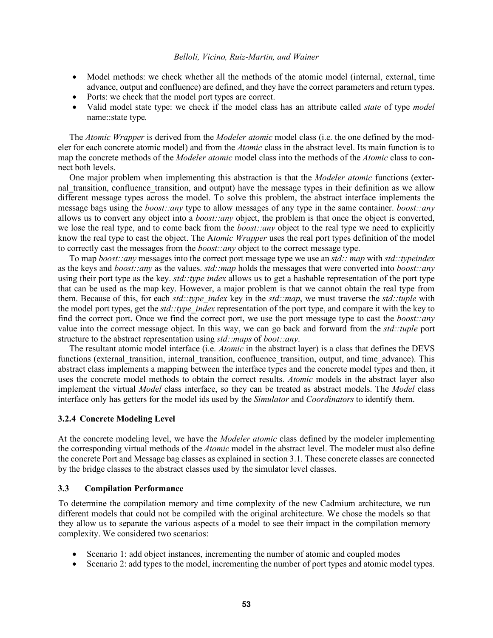- Model methods: we check whether all the methods of the atomic model (internal, external, time advance, output and confluence) are defined, and they have the correct parameters and return types.
- Ports: we check that the model port types are correct.
- Valid model state type: we check if the model class has an attribute called *state* of type *model* name::state type.

The *Atomic Wrapper* is derived from the *Modeler atomic* model class (i.e. the one defined by the modeler for each concrete atomic model) and from the *Atomic* class in the abstract level. Its main function is to map the concrete methods of the *Modeler atomic* model class into the methods of the *Atomic* class to connect both levels.

One major problem when implementing this abstraction is that the *Modeler atomic* functions (external transition, confluence transition, and output) have the message types in their definition as we allow different message types across the model. To solve this problem, the abstract interface implements the message bags using the *boost::any* type to allow messages of any type in the same container. *boost::any*  allows us to convert any object into a *boost::any* object, the problem is that once the object is converted, we lose the real type, and to come back from the *boost::any* object to the real type we need to explicitly know the real type to cast the object. The A*tomic Wrapper* uses the real port types definition of the model to correctly cast the messages from the *boost::any* object to the correct message type.

To map *boost::any* messages into the correct port message type we use an *std:: map* with *std::typeindex*  as the keys and *boost::any* as the values. *std::map* holds the messages that were converted into *boost::any*  using their port type as the key. *std::type index* allows us to get a hashable representation of the port type that can be used as the map key. However, a major problem is that we cannot obtain the real type from them. Because of this, for each *std::type\_index* key in the *std::map*, we must traverse the *std::tuple* with the model port types, get the *std::type\_index* representation of the port type, and compare it with the key to find the correct port. Once we find the correct port, we use the port message type to cast the *boost::any*  value into the correct message object. In this way, we can go back and forward from the *std::tuple* port structure to the abstract representation using *std::maps* of *boot::any*.

The resultant atomic model interface (i.e. *Atomic* in the abstract layer) is a class that defines the DEVS functions (external transition, internal transition, confluence transition, output, and time advance). This abstract class implements a mapping between the interface types and the concrete model types and then, it uses the concrete model methods to obtain the correct results. *Atomic* models in the abstract layer also implement the virtual *Model* class interface, so they can be treated as abstract models. The *Model* class interface only has getters for the model ids used by the *Simulator* and *Coordinators* to identify them.

## **3.2.4 Concrete Modeling Level**

At the concrete modeling level, we have the *Modeler atomic* class defined by the modeler implementing the corresponding virtual methods of the *Atomic* model in the abstract level. The modeler must also define the concrete Port and Message bag classes as explained in section 3.1. These concrete classes are connected by the bridge classes to the abstract classes used by the simulator level classes.

## **3.3 Compilation Performance**

To determine the compilation memory and time complexity of the new Cadmium architecture, we run different models that could not be compiled with the original architecture. We chose the models so that they allow us to separate the various aspects of a model to see their impact in the compilation memory complexity. We considered two scenarios:

- Scenario 1: add object instances, incrementing the number of atomic and coupled modes
- Scenario 2: add types to the model, incrementing the number of port types and atomic model types.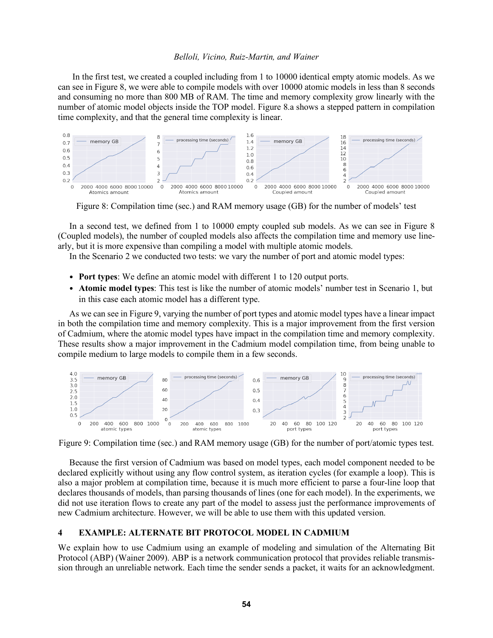In the first test, we created a coupled including from 1 to 10000 identical empty atomic models. As we can see in Figure 8, we were able to compile models with over 10000 atomic models in less than 8 seconds and consuming no more than 800 MB of RAM. The time and memory complexity grow linearly with the number of atomic model objects inside the TOP model. Figure 8.a shows a stepped pattern in compilation time complexity, and that the general time complexity is linear.



Figure 8: Compilation time (sec.) and RAM memory usage (GB) for the number of models' test

In a second test, we defined from 1 to 10000 empty coupled sub models. As we can see in Figure 8 (Coupled models), the number of coupled models also affects the compilation time and memory use linearly, but it is more expensive than compiling a model with multiple atomic models.

In the Scenario 2 we conducted two tests: we vary the number of port and atomic model types:

- **Port types**: We define an atomic model with different 1 to 120 output ports.
- **Atomic model types**: This test is like the number of atomic models' number test in Scenario 1, but in this case each atomic model has a different type.

As we can see in Figure 9, varying the number of port types and atomic model types have a linear impact in both the compilation time and memory complexity. This is a major improvement from the first version of Cadmium, where the atomic model types have impact in the compilation time and memory complexity. These results show a major improvement in the Cadmium model compilation time, from being unable to compile medium to large models to compile them in a few seconds.



Figure 9: Compilation time (sec.) and RAM memory usage (GB) for the number of port/atomic types test.

Because the first version of Cadmium was based on model types, each model component needed to be declared explicitly without using any flow control system, as iteration cycles (for example a loop). This is also a major problem at compilation time, because it is much more efficient to parse a four-line loop that declares thousands of models, than parsing thousands of lines (one for each model). In the experiments, we did not use iteration flows to create any part of the model to assess just the performance improvements of new Cadmium architecture. However, we will be able to use them with this updated version.

## **4 EXAMPLE: ALTERNATE BIT PROTOCOL MODEL IN CADMIUM**

We explain how to use Cadmium using an example of modeling and simulation of the Alternating Bit Protocol (ABP) (Wainer 2009). ABP is a network communication protocol that provides reliable transmission through an unreliable network. Each time the sender sends a packet, it waits for an acknowledgment.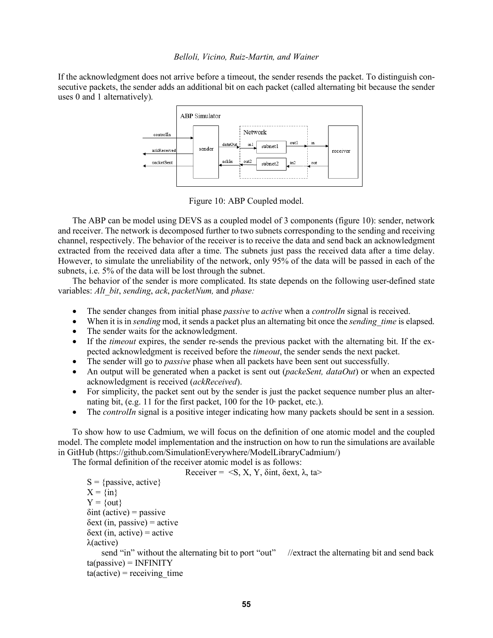If the acknowledgment does not arrive before a timeout, the sender resends the packet. To distinguish consecutive packets, the sender adds an additional bit on each packet (called alternating bit because the sender uses 0 and 1 alternatively).



Figure 10: ABP Coupled model.

The ABP can be model using DEVS as a coupled model of 3 components (figure 10): sender, network and receiver. The network is decomposed further to two subnets corresponding to the sending and receiving channel, respectively. The behavior of the receiver is to receive the data and send back an acknowledgment extracted from the received data after a time. The subnets just pass the received data after a time delay. However, to simulate the unreliability of the network, only 95% of the data will be passed in each of the subnets, i.e. 5% of the data will be lost through the subnet.

The behavior of the sender is more complicated. Its state depends on the following user-defined state variables: *Alt\_bit*, *sending*, *ack*, *packetNum,* and *phase:*

- The sender changes from initial phase *passive* to *active* when a *controlIn* signal is received.
- When it is in *sending* mod, it sends a packet plus an alternating bit once the *sending time* is elapsed.
- The sender waits for the acknowledgment.
- If the *timeout* expires, the sender re-sends the previous packet with the alternating bit. If the expected acknowledgment is received before the *timeout*, the sender sends the next packet.
- The sender will go to *passive* phase when all packets have been sent out successfully.
- An output will be generated when a packet is sent out (*packeSent, dataOut*) or when an expected acknowledgment is received (*ackReceived*).
- For simplicity, the packet sent out by the sender is just the packet sequence number plus an alternating bit, (e.g. 11 for the first packet, 100 for the  $10<sup>th</sup>$  packet, etc.).
- The *controlln* signal is a positive integer indicating how many packets should be sent in a session.

To show how to use Cadmium, we will focus on the definition of one atomic model and the coupled model. The complete model implementation and the instruction on how to run the simulations are available in GitHub (https://github.com/SimulationEverywhere/ModelLibraryCadmium/)

The formal definition of the receiver atomic model is as follows:

Receiver =  $\langle S, X, Y, \delta \rangle$  int,  $\delta$ ext,  $\lambda$ , ta  $S = \{passive, active\}$  $X = \{in\}$  $Y = \{out\}$  $\delta$ int (active) = passive  $\delta$ ext (in, passive) = active  $\delta$ ext (in, active) = active λ(active) send "in" without the alternating bit to port "out" //extract the alternating bit and send back  $ta(passive) = INFINITE$  $ta(active) = receiving time$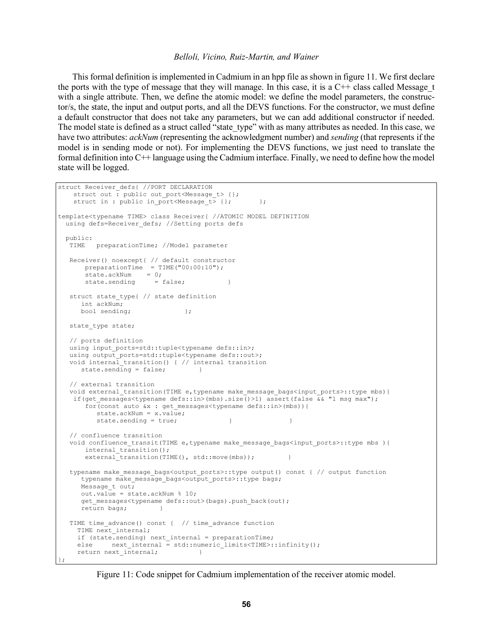This formal definition is implemented in Cadmium in an hpp file as shown in figure 11. We first declare the ports with the type of message that they will manage. In this case, it is a  $C++$  class called Message  $t$ with a single attribute. Then, we define the atomic model: we define the model parameters, the constructor/s, the state, the input and output ports, and all the DEVS functions. For the constructor, we must define a default constructor that does not take any parameters, but we can add additional constructor if needed. The model state is defined as a struct called "state type" with as many attributes as needed. In this case, we have two attributes: *ackNum* (representing the acknowledgment number) and *sending* (that represents if the model is in sending mode or not). For implementing the DEVS functions, we just need to translate the formal definition into C++ language using the Cadmium interface. Finally, we need to define how the model state will be logged.

```
struct Receiver defs{ //PORT DECLARATION
   struct out : public out_port<Message_t> {};
   struct in : public in port<Message t> {}; };
template<typename TIME> class Receiver{ //ATOMIC MODEL DEFINITION 
 using defs=Receiver defs; //Setting ports defs
  public:
   TIME preparationTime; //Model parameter
   Receiver() noexcept{ // default constructor
      preparationTime = TIME("00:00:10");
      state.ackNum = 0;state.sending = false;
   struct state_type{ // state definition
      int ackNum;
     bool sending; \vert;
  state type state;
   // ports definition
  using input ports=std::tuple<typename defs::in>;
  using output_ports=std::tuple<typename defs::out>;
   void internal_transition() { // internal transition
     state.sending = false;
   // external transition
  void external transition(TIME e,typename make message bags<input ports>::type mbs){
   if(get messages<typename defs::in>(mbs).size()>1) assert(false \overline{\&\& "1 msq max");
       for(const auto &x : get_messages<typename defs::in>(mbs)){
          state.ackNum = x.value;
         state.sending = true;
   // confluence transition
  void confluence transit(TIME e,typename make message bags<input ports>::type mbs ){
      internal transition();
      external transition(TIME(), std::move(mbs));
  typename make message bags<output ports>::type output() const { // output function
     typename make message bags<output ports>::type bags;
     Message t out;
     out.value = state.ackNum % 10;
      get_messages<typename defs::out>(bags).push_back(out);
     return bags:
  TIME time advance() const { // time advance function
    TIME next internal;
     if (state.sending) next_internal = preparationTime;
    else next internal = std::numeric limits<TIME>::infinity();
     return next_internal; }
};
```
Figure 11: Code snippet for Cadmium implementation of the receiver atomic model.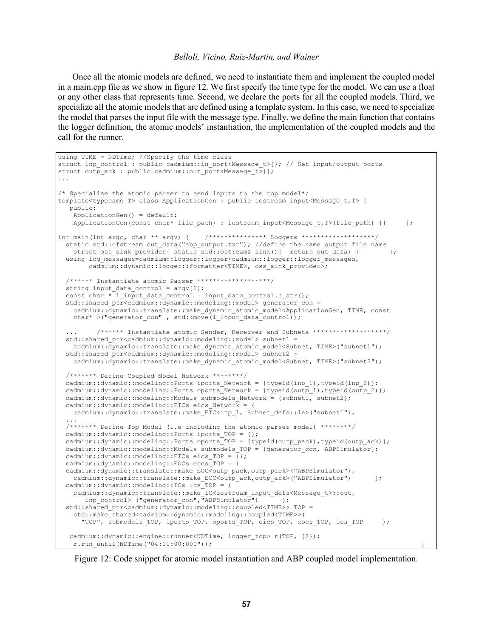Once all the atomic models are defined, we need to instantiate them and implement the coupled model in a main.cpp file as we show in figure 12. We first specify the time type for the model. We can use a float or any other class that represents time. Second, we declare the ports for all the coupled models. Third, we specialize all the atomic models that are defined using a template system. In this case, we need to specialize the model that parses the input file with the message type. Finally, we define the main function that contains the logger definition, the atomic models' instantiation, the implementation of the coupled models and the call for the runner.

```
using TIME = NDTime; //Specify the time class
struct inp_control : public cadmium::in_port<Message_t>{}; // Set input/output ports
struct outp ack : public cadmium::out port<Message t>{}{};
...
/* Specialize the atomic parser to send inputs to the top model*/
template<typename T> class ApplicationGen : public iestream_input<Message_t,T> {
    public:
    ApplicationGen() = default;
    ApplicationGen(const char* file path) : iestream input<Message t,T>(file path) {} };
int main(int argc, char ** argv) {            /**************** Loggers ******************/
 static std::ofstream out data("abp output.txt"); //define the name output file name
    struct oss sink provider{ static std::ostream& sink(){ return out data; } };
 using log messages=cadmium::logger::logger<cadmium::logger::logger messages,
        cadmium::dynamic::logger::formatter<TIME>, oss_sink_provider>;
   /****** Instantiate atomic Parser *******************/
 string input data control = argv[1];
 const char \overline{x} i input data control = input data control.c str();
  std::shared_ptr<cadmium::dynamic::modeling::model> generator_con =
     cadmium::dynamic::translate::make_dynamic_atomic_model<ApplicationGen, TIME, const
    char* >("generator con" , std::move(i_input_data_control));
          /****** Instantiate atomic Sender, Receiver and Subnets ******************/
  std::shared ptr<cadmium::dynamic::modeling::model> subnet1 =
   cadmium::\overline{d}ynamic::translate::make dynamic atomic model<Subnet, TIME>("subnet1");
  std::shared_ptr<cadmium::dynamic::modeling::model> subnet2 =
    cadmium::\overline{d}ynamic::translate::make_dynamic_atomic_model<Subnet, TIME>("subnet2");
   /******* Define Coupled Model Network ********/
   cadmium::dynamic::modeling::Ports iports_Network = {typeid(inp_1),typeid(inp_2)};
   cadmium::dynamic::modeling::Ports oports_Network = {typeid(outp_1),typeid(outp_2)};
  cadmium::dynamic::modeling::Models submodels Network = {subnet1, subnet2};
  cadmium::dynamic::modeling::EICs eics_Network = {cadmium::dynamic::translate::make EIC<inp 1, Subnet defs::in>("subnet1"),
 ...
 /******* Define Top Model (i.e including the atomic parser model) ********/
 cadmium::dynamic::modeling::Ports iports_TOP = {};
cadmium::dynamic::modeling::Ports oports TOP = {typeid(outp_pack),typeid(outp_ack)};
 cadmium::dynamic::modeling::Models submodels TOP = {generator con, ABPSimulator};
 cadmium::dynamic::modeling::EICs eics TOP = \overline{\{\}};
   cadmium::dynamic::modeling::EOCs eocs_TOP = {
 cadmium::dynamic::translate::make EOC<outp_pack,outp_pack>("ABPSimulator"),
    cadmium::dynamic::translate::make EOC<outp ack,outp ack>("ABPSimulator") };
  cadmium::dynamic::modeling::ICs ics_TOP = {
    cadmium::dynamic::translate::make IC<iestream_input_defs<Message_t>::out,
      inp_{control} ("generator_con", "ABPSimulator") \overline{r} };
   std::shared_ptr<cadmium::dynamic::modeling::coupled<TIME>> TOP = 
     std::make_shared<cadmium::dynamic::modeling::coupled<TIME>>(
       "TOP", submodels_TOP, iports_TOP, oports_TOP, eics_TOP, eocs_TOP, ics_TOP );
   cadmium::dynamic::engine::runner<NDTime, logger top> r(TOP, {0});
     r.run_until(NDTime("04:00:00:000")); }
```
Figure 12: Code snippet for atomic model instantiation and ABP coupled model implementation.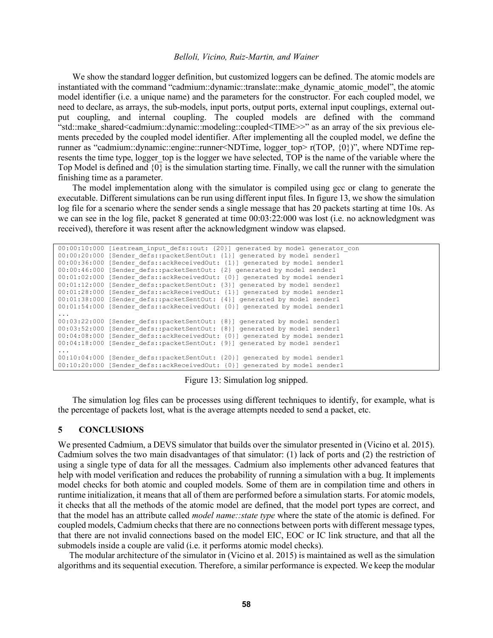We show the standard logger definition, but customized loggers can be defined. The atomic models are instantiated with the command "cadmium::dynamic::translate::make\_dynamic\_atomic\_model", the atomic model identifier (i.e. a unique name) and the parameters for the constructor. For each coupled model, we need to declare, as arrays, the sub-models, input ports, output ports, external input couplings, external output coupling, and internal coupling. The coupled models are defined with the command "std::make\_shared<cadmium::dynamic::modeling::coupled<TIME>>" as an array of the six previous elements preceded by the coupled model identifier. After implementing all the coupled model, we define the runner as "cadmium::dynamic::engine::runner<NDTime, logger top> r(TOP, {0})", where NDTime represents the time type, logger top is the logger we have selected, TOP is the name of the variable where the Top Model is defined and  $\{0\}$  is the simulation starting time. Finally, we call the runner with the simulation finishing time as a parameter.

The model implementation along with the simulator is compiled using gcc or clang to generate the executable. Different simulations can be run using different input files. In figure 13, we show the simulation log file for a scenario where the sender sends a single message that has 20 packets starting at time 10s. As we can see in the log file, packet 8 generated at time 00:03:22:000 was lost (i.e. no acknowledgment was received), therefore it was resent after the acknowledgment window was elapsed.

```
00:00:10:000 [iestream input defs::out: {20}] generated by model generator con
00:00:20:000 [Sender defs::packetSentOut: {1}] generated by model sender1
00:00:36:000 [Sender_defs::ackReceivedOut: {1}] generated by model sender1
00:00:46:000 [Sender_defs::packetSentOut: {2} generated by model sender1
00:01:02:000 [Sender_defs::ackReceivedOut: {0}] generated by model sender1
00:01:12:000 [Sender_defs::packetSentOut: {3}] generated by model sender1
00:01:28:000 [Sender_defs::ackReceivedOut: {1}] generated by model sender1
00:01:38:000 [Sender defs::packetSentOut: {4}] generated by model sender1
00:01:54:000 [Sender<sup>d</sup>defs::ackReceivedOut: {0}] generated by model sender1
...
00:03:22:000 [Sender defs::packetSentOut: {8}] generated by model sender1
00:03:52:000 [Sender_defs::packetSentOut: {8}] generated by model sender1
00:04:08:000 [Sender defs::ackReceivedOut: {0}] generated by model sender1
00:04:18:000 [Sender defs::packetSentOut: {9}] generated by model sender1
...
00:10:04:000 [Sender_defs::packetSentOut: {20}] generated by model sender1
00:10:20:000 [Sender defs::ackReceivedOut: {0}] generated by model sender1
```
Figure 13: Simulation log snipped.

The simulation log files can be processes using different techniques to identify, for example, what is the percentage of packets lost, what is the average attempts needed to send a packet, etc.

#### **5 CONCLUSIONS**

We presented Cadmium, a DEVS simulator that builds over the simulator presented in (Vicino et al. 2015). Cadmium solves the two main disadvantages of that simulator: (1) lack of ports and (2) the restriction of using a single type of data for all the messages. Cadmium also implements other advanced features that help with model verification and reduces the probability of running a simulation with a bug. It implements model checks for both atomic and coupled models. Some of them are in compilation time and others in runtime initialization, it means that all of them are performed before a simulation starts. For atomic models, it checks that all the methods of the atomic model are defined, that the model port types are correct, and that the model has an attribute called *model name::state type* where the state of the atomic is defined. For coupled models, Cadmium checks that there are no connections between ports with different message types, that there are not invalid connections based on the model EIC, EOC or IC link structure, and that all the submodels inside a couple are valid (i.e. it performs atomic model checks).

The modular architecture of the simulator in (Vicino et al. 2015) is maintained as well as the simulation algorithms and its sequential execution. Therefore, a similar performance is expected. We keep the modular